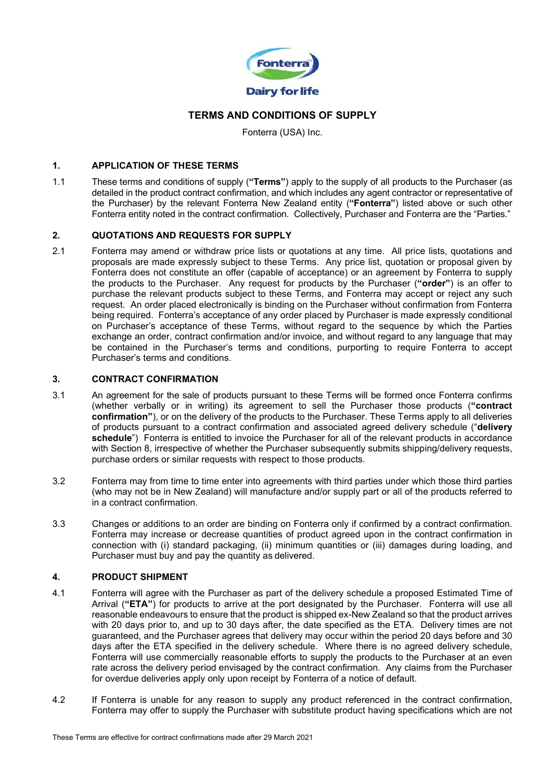

# TERMS AND CONDITIONS OF SUPPLY

Fonterra (USA) Inc.

## 1. APPLICATION OF THESE TERMS

1.1 These terms and conditions of supply ("Terms") apply to the supply of all products to the Purchaser (as detailed in the product contract confirmation, and which includes any agent contractor or representative of the Purchaser) by the relevant Fonterra New Zealand entity ("Fonterra") listed above or such other Fonterra entity noted in the contract confirmation. Collectively, Purchaser and Fonterra are the "Parties."

# 2. QUOTATIONS AND REQUESTS FOR SUPPLY

2.1 Fonterra may amend or withdraw price lists or quotations at any time. All price lists, quotations and proposals are made expressly subject to these Terms. Any price list, quotation or proposal given by Fonterra does not constitute an offer (capable of acceptance) or an agreement by Fonterra to supply the products to the Purchaser. Any request for products by the Purchaser ("order") is an offer to purchase the relevant products subject to these Terms, and Fonterra may accept or reject any such request. An order placed electronically is binding on the Purchaser without confirmation from Fonterra being required. Fonterra's acceptance of any order placed by Purchaser is made expressly conditional on Purchaser's acceptance of these Terms, without regard to the sequence by which the Parties exchange an order, contract confirmation and/or invoice, and without regard to any language that may be contained in the Purchaser's terms and conditions, purporting to require Fonterra to accept Purchaser's terms and conditions.

# 3. CONTRACT CONFIRMATION

- 3.1 An agreement for the sale of products pursuant to these Terms will be formed once Fonterra confirms (whether verbally or in writing) its agreement to sell the Purchaser those products ("contract confirmation"), or on the delivery of the products to the Purchaser. These Terms apply to all deliveries of products pursuant to a contract confirmation and associated agreed delivery schedule ("delivery schedule") Fonterra is entitled to invoice the Purchaser for all of the relevant products in accordance with Section 8, irrespective of whether the Purchaser subsequently submits shipping/delivery requests, purchase orders or similar requests with respect to those products.
- 3.2 Fonterra may from time to time enter into agreements with third parties under which those third parties (who may not be in New Zealand) will manufacture and/or supply part or all of the products referred to in a contract confirmation.
- 3.3 Changes or additions to an order are binding on Fonterra only if confirmed by a contract confirmation. Fonterra may increase or decrease quantities of product agreed upon in the contract confirmation in connection with (i) standard packaging, (ii) minimum quantities or (iii) damages during loading, and Purchaser must buy and pay the quantity as delivered.

# 4. PRODUCT SHIPMENT

- 4.1 Fonterra will agree with the Purchaser as part of the delivery schedule a proposed Estimated Time of Arrival ("ETA") for products to arrive at the port designated by the Purchaser. Fonterra will use all reasonable endeavours to ensure that the product is shipped ex-New Zealand so that the product arrives with 20 days prior to, and up to 30 days after, the date specified as the ETA. Delivery times are not guaranteed, and the Purchaser agrees that delivery may occur within the period 20 days before and 30 days after the ETA specified in the delivery schedule. Where there is no agreed delivery schedule, Fonterra will use commercially reasonable efforts to supply the products to the Purchaser at an even rate across the delivery period envisaged by the contract confirmation. Any claims from the Purchaser for overdue deliveries apply only upon receipt by Fonterra of a notice of default.
- 4.2 If Fonterra is unable for any reason to supply any product referenced in the contract confirmation, Fonterra may offer to supply the Purchaser with substitute product having specifications which are not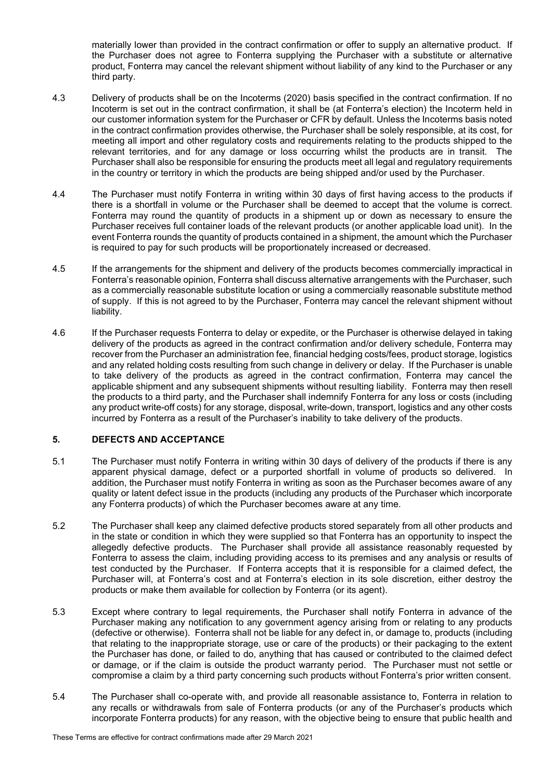materially lower than provided in the contract confirmation or offer to supply an alternative product. If the Purchaser does not agree to Fonterra supplying the Purchaser with a substitute or alternative product, Fonterra may cancel the relevant shipment without liability of any kind to the Purchaser or any third party.

- 4.3 Delivery of products shall be on the Incoterms (2020) basis specified in the contract confirmation. If no Incoterm is set out in the contract confirmation, it shall be (at Fonterra's election) the Incoterm held in our customer information system for the Purchaser or CFR by default. Unless the Incoterms basis noted in the contract confirmation provides otherwise, the Purchaser shall be solely responsible, at its cost, for meeting all import and other regulatory costs and requirements relating to the products shipped to the relevant territories, and for any damage or loss occurring whilst the products are in transit. The Purchaser shall also be responsible for ensuring the products meet all legal and regulatory requirements in the country or territory in which the products are being shipped and/or used by the Purchaser.
- 4.4 The Purchaser must notify Fonterra in writing within 30 days of first having access to the products if there is a shortfall in volume or the Purchaser shall be deemed to accept that the volume is correct. Fonterra may round the quantity of products in a shipment up or down as necessary to ensure the Purchaser receives full container loads of the relevant products (or another applicable load unit). In the event Fonterra rounds the quantity of products contained in a shipment, the amount which the Purchaser is required to pay for such products will be proportionately increased or decreased.
- 4.5 If the arrangements for the shipment and delivery of the products becomes commercially impractical in Fonterra's reasonable opinion, Fonterra shall discuss alternative arrangements with the Purchaser, such as a commercially reasonable substitute location or using a commercially reasonable substitute method of supply. If this is not agreed to by the Purchaser, Fonterra may cancel the relevant shipment without liability.
- 4.6 If the Purchaser requests Fonterra to delay or expedite, or the Purchaser is otherwise delayed in taking delivery of the products as agreed in the contract confirmation and/or delivery schedule, Fonterra may recover from the Purchaser an administration fee, financial hedging costs/fees, product storage, logistics and any related holding costs resulting from such change in delivery or delay. If the Purchaser is unable to take delivery of the products as agreed in the contract confirmation, Fonterra may cancel the applicable shipment and any subsequent shipments without resulting liability. Fonterra may then resell the products to a third party, and the Purchaser shall indemnify Fonterra for any loss or costs (including any product write-off costs) for any storage, disposal, write-down, transport, logistics and any other costs incurred by Fonterra as a result of the Purchaser's inability to take delivery of the products.

# 5. DEFECTS AND ACCEPTANCE

- 5.1 The Purchaser must notify Fonterra in writing within 30 days of delivery of the products if there is any apparent physical damage, defect or a purported shortfall in volume of products so delivered. In addition, the Purchaser must notify Fonterra in writing as soon as the Purchaser becomes aware of any quality or latent defect issue in the products (including any products of the Purchaser which incorporate any Fonterra products) of which the Purchaser becomes aware at any time.
- 5.2 The Purchaser shall keep any claimed defective products stored separately from all other products and in the state or condition in which they were supplied so that Fonterra has an opportunity to inspect the allegedly defective products. The Purchaser shall provide all assistance reasonably requested by Fonterra to assess the claim, including providing access to its premises and any analysis or results of test conducted by the Purchaser. If Fonterra accepts that it is responsible for a claimed defect, the Purchaser will, at Fonterra's cost and at Fonterra's election in its sole discretion, either destroy the products or make them available for collection by Fonterra (or its agent).
- 5.3 Except where contrary to legal requirements, the Purchaser shall notify Fonterra in advance of the Purchaser making any notification to any government agency arising from or relating to any products (defective or otherwise). Fonterra shall not be liable for any defect in, or damage to, products (including that relating to the inappropriate storage, use or care of the products) or their packaging to the extent the Purchaser has done, or failed to do, anything that has caused or contributed to the claimed defect or damage, or if the claim is outside the product warranty period. The Purchaser must not settle or compromise a claim by a third party concerning such products without Fonterra's prior written consent.
- 5.4 The Purchaser shall co-operate with, and provide all reasonable assistance to, Fonterra in relation to any recalls or withdrawals from sale of Fonterra products (or any of the Purchaser's products which incorporate Fonterra products) for any reason, with the objective being to ensure that public health and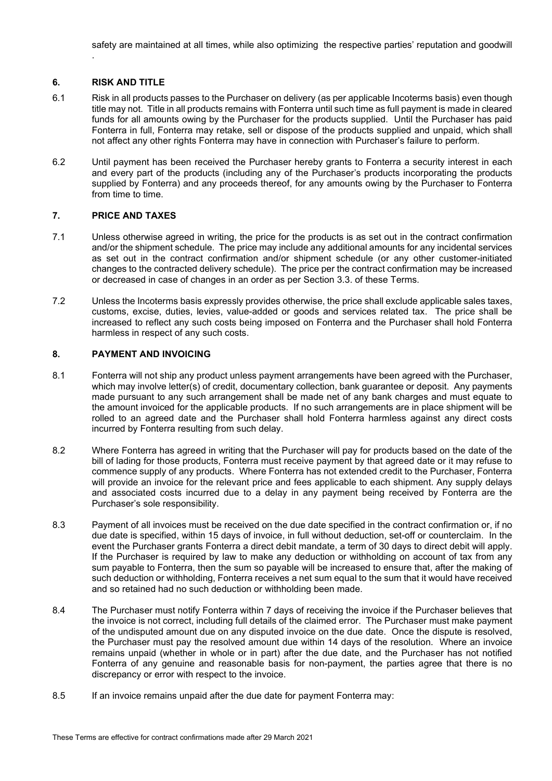# 6. RISK AND TITLE

.

- 6.1 Risk in all products passes to the Purchaser on delivery (as per applicable Incoterms basis) even though title may not. Title in all products remains with Fonterra until such time as full payment is made in cleared funds for all amounts owing by the Purchaser for the products supplied. Until the Purchaser has paid Fonterra in full, Fonterra may retake, sell or dispose of the products supplied and unpaid, which shall not affect any other rights Fonterra may have in connection with Purchaser's failure to perform.
- 6.2 Until payment has been received the Purchaser hereby grants to Fonterra a security interest in each and every part of the products (including any of the Purchaser's products incorporating the products supplied by Fonterra) and any proceeds thereof, for any amounts owing by the Purchaser to Fonterra from time to time.

#### 7. PRICE AND TAXES

- 7.1 Unless otherwise agreed in writing, the price for the products is as set out in the contract confirmation and/or the shipment schedule. The price may include any additional amounts for any incidental services as set out in the contract confirmation and/or shipment schedule (or any other customer-initiated changes to the contracted delivery schedule). The price per the contract confirmation may be increased or decreased in case of changes in an order as per Section 3.3. of these Terms.
- 7.2 Unless the Incoterms basis expressly provides otherwise, the price shall exclude applicable sales taxes, customs, excise, duties, levies, value-added or goods and services related tax. The price shall be increased to reflect any such costs being imposed on Fonterra and the Purchaser shall hold Fonterra harmless in respect of any such costs.

#### 8. PAYMENT AND INVOICING

- 8.1 Fonterra will not ship any product unless payment arrangements have been agreed with the Purchaser, which may involve letter(s) of credit, documentary collection, bank guarantee or deposit. Any payments made pursuant to any such arrangement shall be made net of any bank charges and must equate to the amount invoiced for the applicable products. If no such arrangements are in place shipment will be rolled to an agreed date and the Purchaser shall hold Fonterra harmless against any direct costs incurred by Fonterra resulting from such delay.
- 8.2 Where Fonterra has agreed in writing that the Purchaser will pay for products based on the date of the bill of lading for those products, Fonterra must receive payment by that agreed date or it may refuse to commence supply of any products. Where Fonterra has not extended credit to the Purchaser, Fonterra will provide an invoice for the relevant price and fees applicable to each shipment. Any supply delays and associated costs incurred due to a delay in any payment being received by Fonterra are the Purchaser's sole responsibility.
- 8.3 Payment of all invoices must be received on the due date specified in the contract confirmation or, if no due date is specified, within 15 days of invoice, in full without deduction, set-off or counterclaim. In the event the Purchaser grants Fonterra a direct debit mandate, a term of 30 days to direct debit will apply. If the Purchaser is required by law to make any deduction or withholding on account of tax from any sum payable to Fonterra, then the sum so payable will be increased to ensure that, after the making of such deduction or withholding, Fonterra receives a net sum equal to the sum that it would have received and so retained had no such deduction or withholding been made.
- 8.4 The Purchaser must notify Fonterra within 7 days of receiving the invoice if the Purchaser believes that the invoice is not correct, including full details of the claimed error. The Purchaser must make payment of the undisputed amount due on any disputed invoice on the due date. Once the dispute is resolved, the Purchaser must pay the resolved amount due within 14 days of the resolution. Where an invoice remains unpaid (whether in whole or in part) after the due date, and the Purchaser has not notified Fonterra of any genuine and reasonable basis for non-payment, the parties agree that there is no discrepancy or error with respect to the invoice.
- 8.5 If an invoice remains unpaid after the due date for payment Fonterra may: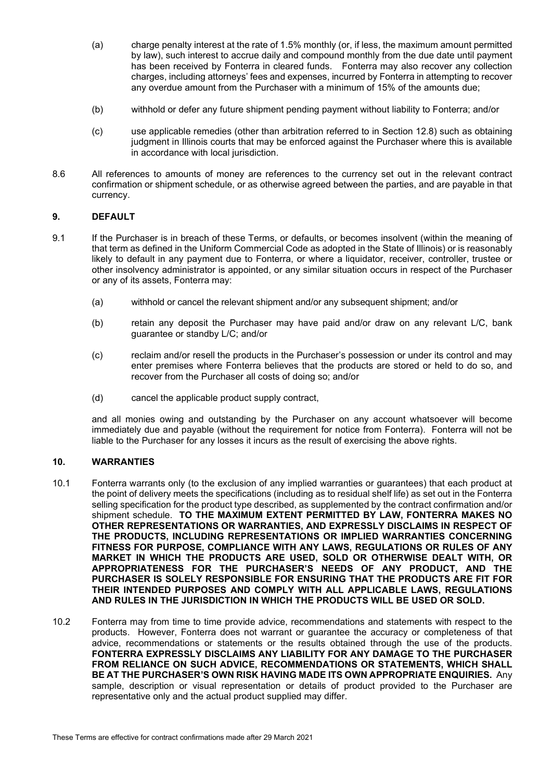- (a) charge penalty interest at the rate of 1.5% monthly (or, if less, the maximum amount permitted by law), such interest to accrue daily and compound monthly from the due date until payment has been received by Fonterra in cleared funds. Fonterra may also recover any collection charges, including attorneys' fees and expenses, incurred by Fonterra in attempting to recover any overdue amount from the Purchaser with a minimum of 15% of the amounts due;
- (b) withhold or defer any future shipment pending payment without liability to Fonterra; and/or
- (c) use applicable remedies (other than arbitration referred to in Section 12.8) such as obtaining judgment in Illinois courts that may be enforced against the Purchaser where this is available in accordance with local jurisdiction.
- 8.6 All references to amounts of money are references to the currency set out in the relevant contract confirmation or shipment schedule, or as otherwise agreed between the parties, and are payable in that currency.

## 9. DEFAULT

- 9.1 If the Purchaser is in breach of these Terms, or defaults, or becomes insolvent (within the meaning of that term as defined in the Uniform Commercial Code as adopted in the State of Illinois) or is reasonably likely to default in any payment due to Fonterra, or where a liquidator, receiver, controller, trustee or other insolvency administrator is appointed, or any similar situation occurs in respect of the Purchaser or any of its assets, Fonterra may:
	- (a) withhold or cancel the relevant shipment and/or any subsequent shipment; and/or
	- (b) retain any deposit the Purchaser may have paid and/or draw on any relevant L/C, bank guarantee or standby L/C; and/or
	- (c) reclaim and/or resell the products in the Purchaser's possession or under its control and may enter premises where Fonterra believes that the products are stored or held to do so, and recover from the Purchaser all costs of doing so; and/or
	- (d) cancel the applicable product supply contract,

and all monies owing and outstanding by the Purchaser on any account whatsoever will become immediately due and payable (without the requirement for notice from Fonterra). Fonterra will not be liable to the Purchaser for any losses it incurs as the result of exercising the above rights.

# 10. WARRANTIES

- 10.1 Fonterra warrants only (to the exclusion of any implied warranties or guarantees) that each product at the point of delivery meets the specifications (including as to residual shelf life) as set out in the Fonterra selling specification for the product type described, as supplemented by the contract confirmation and/or shipment schedule. TO THE MAXIMUM EXTENT PERMITTED BY LAW, FONTERRA MAKES NO OTHER REPRESENTATIONS OR WARRANTIES, AND EXPRESSLY DISCLAIMS IN RESPECT OF THE PRODUCTS, INCLUDING REPRESENTATIONS OR IMPLIED WARRANTIES CONCERNING FITNESS FOR PURPOSE, COMPLIANCE WITH ANY LAWS, REGULATIONS OR RULES OF ANY MARKET IN WHICH THE PRODUCTS ARE USED, SOLD OR OTHERWISE DEALT WITH, OR APPROPRIATENESS FOR THE PURCHASER'S NEEDS OF ANY PRODUCT, AND THE PURCHASER IS SOLELY RESPONSIBLE FOR ENSURING THAT THE PRODUCTS ARE FIT FOR THEIR INTENDED PURPOSES AND COMPLY WITH ALL APPLICABLE LAWS, REGULATIONS AND RULES IN THE JURISDICTION IN WHICH THE PRODUCTS WILL BE USED OR SOLD.
- 10.2 Fonterra may from time to time provide advice, recommendations and statements with respect to the products. However, Fonterra does not warrant or guarantee the accuracy or completeness of that advice, recommendations or statements or the results obtained through the use of the products. FONTERRA EXPRESSLY DISCLAIMS ANY LIABILITY FOR ANY DAMAGE TO THE PURCHASER FROM RELIANCE ON SUCH ADVICE, RECOMMENDATIONS OR STATEMENTS, WHICH SHALL BE AT THE PURCHASER'S OWN RISK HAVING MADE ITS OWN APPROPRIATE ENQUIRIES. Any sample, description or visual representation or details of product provided to the Purchaser are representative only and the actual product supplied may differ.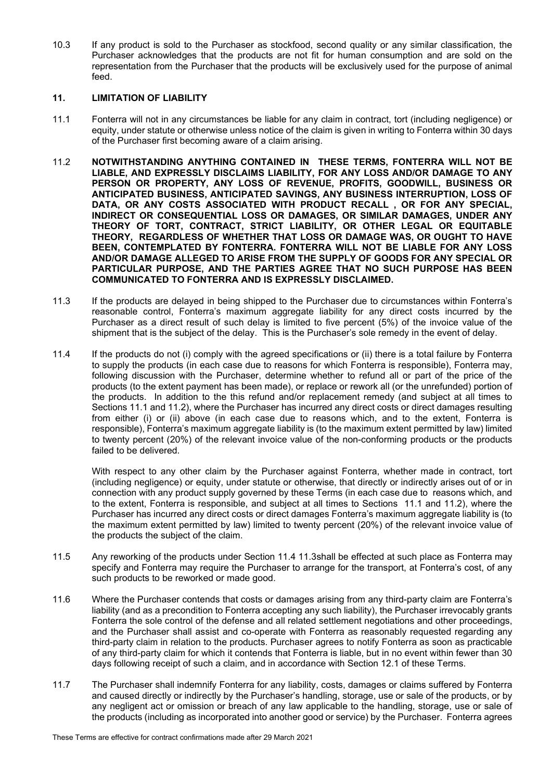10.3 If any product is sold to the Purchaser as stockfood, second quality or any similar classification, the Purchaser acknowledges that the products are not fit for human consumption and are sold on the representation from the Purchaser that the products will be exclusively used for the purpose of animal feed.

# 11. LIMITATION OF LIABILITY

- 11.1 Fonterra will not in any circumstances be liable for any claim in contract, tort (including negligence) or equity, under statute or otherwise unless notice of the claim is given in writing to Fonterra within 30 days of the Purchaser first becoming aware of a claim arising.
- 11.2 NOTWITHSTANDING ANYTHING CONTAINED IN THESE TERMS, FONTERRA WILL NOT BE LIABLE, AND EXPRESSLY DISCLAIMS LIABILITY, FOR ANY LOSS AND/OR DAMAGE TO ANY PERSON OR PROPERTY, ANY LOSS OF REVENUE, PROFITS, GOODWILL, BUSINESS OR ANTICIPATED BUSINESS, ANTICIPATED SAVINGS, ANY BUSINESS INTERRUPTION, LOSS OF DATA, OR ANY COSTS ASSOCIATED WITH PRODUCT RECALL , OR FOR ANY SPECIAL, INDIRECT OR CONSEQUENTIAL LOSS OR DAMAGES, OR SIMILAR DAMAGES, UNDER ANY THEORY OF TORT, CONTRACT, STRICT LIABILITY, OR OTHER LEGAL OR EQUITABLE THEORY, REGARDLESS OF WHETHER THAT LOSS OR DAMAGE WAS, OR OUGHT TO HAVE BEEN, CONTEMPLATED BY FONTERRA. FONTERRA WILL NOT BE LIABLE FOR ANY LOSS AND/OR DAMAGE ALLEGED TO ARISE FROM THE SUPPLY OF GOODS FOR ANY SPECIAL OR PARTICULAR PURPOSE, AND THE PARTIES AGREE THAT NO SUCH PURPOSE HAS BEEN COMMUNICATED TO FONTERRA AND IS EXPRESSLY DISCLAIMED.
- 11.3 If the products are delayed in being shipped to the Purchaser due to circumstances within Fonterra's reasonable control, Fonterra's maximum aggregate liability for any direct costs incurred by the Purchaser as a direct result of such delay is limited to five percent (5%) of the invoice value of the shipment that is the subject of the delay. This is the Purchaser's sole remedy in the event of delay.
- 11.4 If the products do not (i) comply with the agreed specifications or (ii) there is a total failure by Fonterra to supply the products (in each case due to reasons for which Fonterra is responsible), Fonterra may, following discussion with the Purchaser, determine whether to refund all or part of the price of the products (to the extent payment has been made), or replace or rework all (or the unrefunded) portion of the products. In addition to the this refund and/or replacement remedy (and subject at all times to Sections 11.1 and 11.2), where the Purchaser has incurred any direct costs or direct damages resulting from either (i) or (ii) above (in each case due to reasons which, and to the extent, Fonterra is responsible), Fonterra's maximum aggregate liability is (to the maximum extent permitted by law) limited to twenty percent (20%) of the relevant invoice value of the non-conforming products or the products failed to be delivered.

With respect to any other claim by the Purchaser against Fonterra, whether made in contract, tort (including negligence) or equity, under statute or otherwise, that directly or indirectly arises out of or in connection with any product supply governed by these Terms (in each case due to reasons which, and to the extent, Fonterra is responsible, and subject at all times to Sections 11.1 and 11.2), where the Purchaser has incurred any direct costs or direct damages Fonterra's maximum aggregate liability is (to the maximum extent permitted by law) limited to twenty percent (20%) of the relevant invoice value of the products the subject of the claim.

- 11.5 Any reworking of the products under Section 11.4 11.3shall be effected at such place as Fonterra may specify and Fonterra may require the Purchaser to arrange for the transport, at Fonterra's cost, of any such products to be reworked or made good.
- 11.6 Where the Purchaser contends that costs or damages arising from any third-party claim are Fonterra's liability (and as a precondition to Fonterra accepting any such liability), the Purchaser irrevocably grants Fonterra the sole control of the defense and all related settlement negotiations and other proceedings, and the Purchaser shall assist and co-operate with Fonterra as reasonably requested regarding any third-party claim in relation to the products. Purchaser agrees to notify Fonterra as soon as practicable of any third-party claim for which it contends that Fonterra is liable, but in no event within fewer than 30 days following receipt of such a claim, and in accordance with Section 12.1 of these Terms.
- 11.7 The Purchaser shall indemnify Fonterra for any liability, costs, damages or claims suffered by Fonterra and caused directly or indirectly by the Purchaser's handling, storage, use or sale of the products, or by any negligent act or omission or breach of any law applicable to the handling, storage, use or sale of the products (including as incorporated into another good or service) by the Purchaser. Fonterra agrees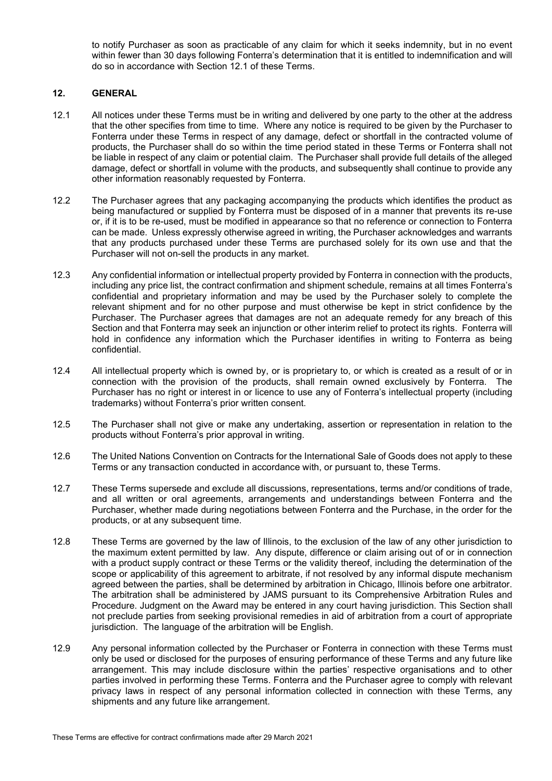to notify Purchaser as soon as practicable of any claim for which it seeks indemnity, but in no event within fewer than 30 days following Fonterra's determination that it is entitled to indemnification and will do so in accordance with Section 12.1 of these Terms.

# 12. GENERAL

- 12.1 All notices under these Terms must be in writing and delivered by one party to the other at the address that the other specifies from time to time. Where any notice is required to be given by the Purchaser to Fonterra under these Terms in respect of any damage, defect or shortfall in the contracted volume of products, the Purchaser shall do so within the time period stated in these Terms or Fonterra shall not be liable in respect of any claim or potential claim. The Purchaser shall provide full details of the alleged damage, defect or shortfall in volume with the products, and subsequently shall continue to provide any other information reasonably requested by Fonterra.
- 12.2 The Purchaser agrees that any packaging accompanying the products which identifies the product as being manufactured or supplied by Fonterra must be disposed of in a manner that prevents its re-use or, if it is to be re-used, must be modified in appearance so that no reference or connection to Fonterra can be made. Unless expressly otherwise agreed in writing, the Purchaser acknowledges and warrants that any products purchased under these Terms are purchased solely for its own use and that the Purchaser will not on-sell the products in any market.
- 12.3 Any confidential information or intellectual property provided by Fonterra in connection with the products, including any price list, the contract confirmation and shipment schedule, remains at all times Fonterra's confidential and proprietary information and may be used by the Purchaser solely to complete the relevant shipment and for no other purpose and must otherwise be kept in strict confidence by the Purchaser. The Purchaser agrees that damages are not an adequate remedy for any breach of this Section and that Fonterra may seek an injunction or other interim relief to protect its rights. Fonterra will hold in confidence any information which the Purchaser identifies in writing to Fonterra as being confidential.
- 12.4 All intellectual property which is owned by, or is proprietary to, or which is created as a result of or in connection with the provision of the products, shall remain owned exclusively by Fonterra. The Purchaser has no right or interest in or licence to use any of Fonterra's intellectual property (including trademarks) without Fonterra's prior written consent.
- 12.5 The Purchaser shall not give or make any undertaking, assertion or representation in relation to the products without Fonterra's prior approval in writing.
- 12.6 The United Nations Convention on Contracts for the International Sale of Goods does not apply to these Terms or any transaction conducted in accordance with, or pursuant to, these Terms.
- 12.7 These Terms supersede and exclude all discussions, representations, terms and/or conditions of trade, and all written or oral agreements, arrangements and understandings between Fonterra and the Purchaser, whether made during negotiations between Fonterra and the Purchase, in the order for the products, or at any subsequent time.
- 12.8 These Terms are governed by the law of Illinois, to the exclusion of the law of any other jurisdiction to the maximum extent permitted by law. Any dispute, difference or claim arising out of or in connection with a product supply contract or these Terms or the validity thereof, including the determination of the scope or applicability of this agreement to arbitrate, if not resolved by any informal dispute mechanism agreed between the parties, shall be determined by arbitration in Chicago, Illinois before one arbitrator. The arbitration shall be administered by JAMS pursuant to its Comprehensive Arbitration Rules and Procedure. Judgment on the Award may be entered in any court having jurisdiction. This Section shall not preclude parties from seeking provisional remedies in aid of arbitration from a court of appropriate jurisdiction. The language of the arbitration will be English.
- 12.9 Any personal information collected by the Purchaser or Fonterra in connection with these Terms must only be used or disclosed for the purposes of ensuring performance of these Terms and any future like arrangement. This may include disclosure within the parties' respective organisations and to other parties involved in performing these Terms. Fonterra and the Purchaser agree to comply with relevant privacy laws in respect of any personal information collected in connection with these Terms, any shipments and any future like arrangement.